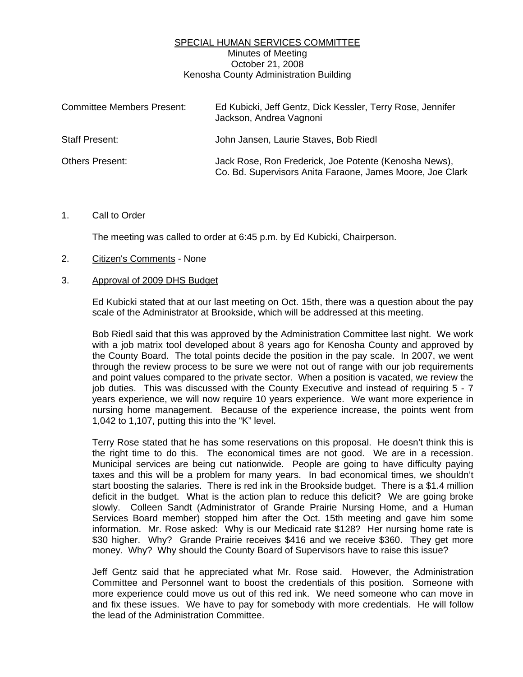## SPECIAL HUMAN SERVICES COMMITTEE Minutes of Meeting October 21, 2008 Kenosha County Administration Building

| <b>Committee Members Present:</b> | Ed Kubicki, Jeff Gentz, Dick Kessler, Terry Rose, Jennifer<br>Jackson, Andrea Vagnoni                              |
|-----------------------------------|--------------------------------------------------------------------------------------------------------------------|
| Staff Present:                    | John Jansen, Laurie Staves, Bob Riedl                                                                              |
| <b>Others Present:</b>            | Jack Rose, Ron Frederick, Joe Potente (Kenosha News),<br>Co. Bd. Supervisors Anita Faraone, James Moore, Joe Clark |

## 1. Call to Order

The meeting was called to order at 6:45 p.m. by Ed Kubicki, Chairperson.

2. Citizen's Comments - None

## 3. Approval of 2009 DHS Budget

 Ed Kubicki stated that at our last meeting on Oct. 15th, there was a question about the pay scale of the Administrator at Brookside, which will be addressed at this meeting.

 Bob Riedl said that this was approved by the Administration Committee last night. We work with a job matrix tool developed about 8 years ago for Kenosha County and approved by the County Board. The total points decide the position in the pay scale. In 2007, we went through the review process to be sure we were not out of range with our job requirements and point values compared to the private sector. When a position is vacated, we review the job duties. This was discussed with the County Executive and instead of requiring 5 - 7 years experience, we will now require 10 years experience. We want more experience in nursing home management. Because of the experience increase, the points went from 1,042 to 1,107, putting this into the "K" level.

 Terry Rose stated that he has some reservations on this proposal. He doesn't think this is the right time to do this. The economical times are not good. We are in a recession. Municipal services are being cut nationwide. People are going to have difficulty paying taxes and this will be a problem for many years. In bad economical times, we shouldn't start boosting the salaries. There is red ink in the Brookside budget. There is a \$1.4 million deficit in the budget. What is the action plan to reduce this deficit? We are going broke slowly. Colleen Sandt (Administrator of Grande Prairie Nursing Home, and a Human Services Board member) stopped him after the Oct. 15th meeting and gave him some information. Mr. Rose asked: Why is our Medicaid rate \$128? Her nursing home rate is \$30 higher. Why? Grande Prairie receives \$416 and we receive \$360. They get more money. Why? Why should the County Board of Supervisors have to raise this issue?

 Jeff Gentz said that he appreciated what Mr. Rose said. However, the Administration Committee and Personnel want to boost the credentials of this position. Someone with more experience could move us out of this red ink. We need someone who can move in and fix these issues. We have to pay for somebody with more credentials. He will follow the lead of the Administration Committee.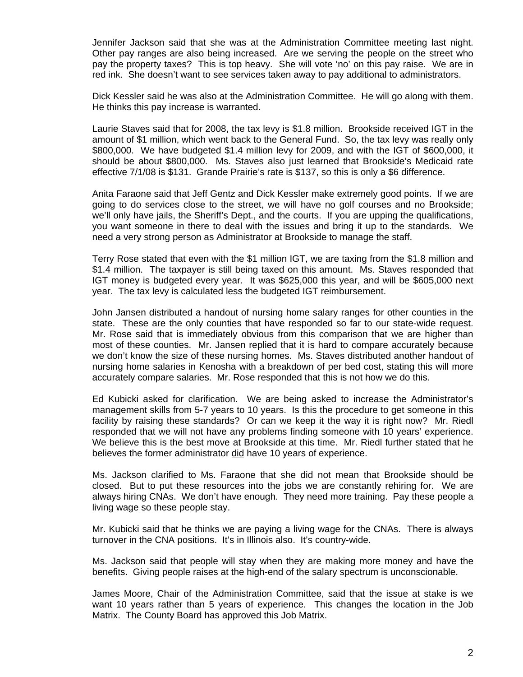Jennifer Jackson said that she was at the Administration Committee meeting last night. Other pay ranges are also being increased. Are we serving the people on the street who pay the property taxes? This is top heavy. She will vote 'no' on this pay raise. We are in red ink. She doesn't want to see services taken away to pay additional to administrators.

 Dick Kessler said he was also at the Administration Committee. He will go along with them. He thinks this pay increase is warranted.

 Laurie Staves said that for 2008, the tax levy is \$1.8 million. Brookside received IGT in the amount of \$1 million, which went back to the General Fund. So, the tax levy was really only \$800,000. We have budgeted \$1.4 million levy for 2009, and with the IGT of \$600,000, it should be about \$800,000. Ms. Staves also just learned that Brookside's Medicaid rate effective 7/1/08 is \$131. Grande Prairie's rate is \$137, so this is only a \$6 difference.

 Anita Faraone said that Jeff Gentz and Dick Kessler make extremely good points. If we are going to do services close to the street, we will have no golf courses and no Brookside; we'll only have jails, the Sheriff's Dept., and the courts. If you are upping the qualifications, you want someone in there to deal with the issues and bring it up to the standards. We need a very strong person as Administrator at Brookside to manage the staff.

 Terry Rose stated that even with the \$1 million IGT, we are taxing from the \$1.8 million and \$1.4 million. The taxpayer is still being taxed on this amount. Ms. Staves responded that IGT money is budgeted every year. It was \$625,000 this year, and will be \$605,000 next year. The tax levy is calculated less the budgeted IGT reimbursement.

 John Jansen distributed a handout of nursing home salary ranges for other counties in the state. These are the only counties that have responded so far to our state-wide request. Mr. Rose said that is immediately obvious from this comparison that we are higher than most of these counties. Mr. Jansen replied that it is hard to compare accurately because we don't know the size of these nursing homes. Ms. Staves distributed another handout of nursing home salaries in Kenosha with a breakdown of per bed cost, stating this will more accurately compare salaries. Mr. Rose responded that this is not how we do this.

 Ed Kubicki asked for clarification. We are being asked to increase the Administrator's management skills from 5-7 years to 10 years. Is this the procedure to get someone in this facility by raising these standards? Or can we keep it the way it is right now? Mr. Riedl responded that we will not have any problems finding someone with 10 years' experience. We believe this is the best move at Brookside at this time. Mr. Riedl further stated that he believes the former administrator did have 10 years of experience.

 Ms. Jackson clarified to Ms. Faraone that she did not mean that Brookside should be closed. But to put these resources into the jobs we are constantly rehiring for. We are always hiring CNAs. We don't have enough. They need more training. Pay these people a living wage so these people stay.

 Mr. Kubicki said that he thinks we are paying a living wage for the CNAs. There is always turnover in the CNA positions. It's in Illinois also. It's country-wide.

 Ms. Jackson said that people will stay when they are making more money and have the benefits. Giving people raises at the high-end of the salary spectrum is unconscionable.

 James Moore, Chair of the Administration Committee, said that the issue at stake is we want 10 years rather than 5 years of experience. This changes the location in the Job Matrix. The County Board has approved this Job Matrix.